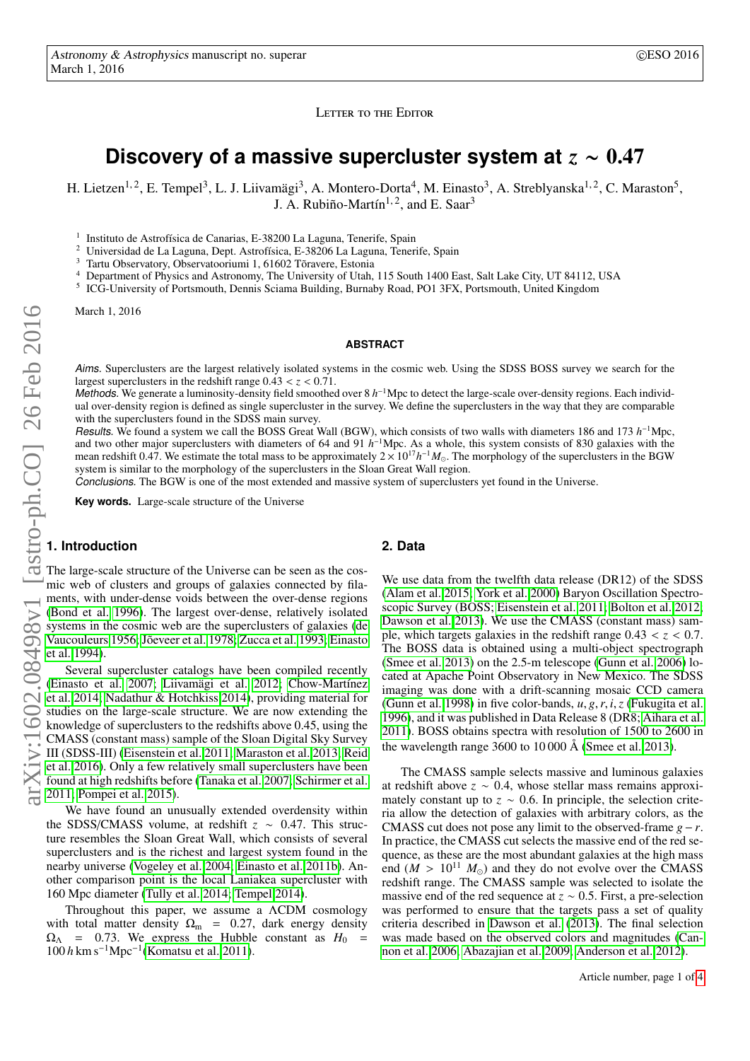LETTER TO THE EDITOR

# <span id="page-0-0"></span>**Discovery of a massive supercluster system at** *<sup>z</sup>* <sup>∼</sup> <sup>0</sup>.<sup>47</sup>

H. Lietzen<sup>1, 2</sup>, E. Tempel<sup>3</sup>, L. J. Liivamägi<sup>3</sup>, A. Montero-Dorta<sup>4</sup>, M. Einasto<sup>3</sup>, A. Streblyanska<sup>1, 2</sup>, C. Maraston<sup>5</sup>, J. A. Rubiño-Martín<sup>1, 2</sup>, and E. Saar<sup>3</sup>

1 Instituto de Astrofísica de Canarias, E-38200 La Laguna, Tenerife, Spain

<sup>2</sup> Universidad de La Laguna, Dept. Astrofísica, E-38206 La Laguna, Tenerife, Spain

<sup>3</sup> Tartu Observatory, Observatooriumi 1, 61602 Tõravere, Estonia

<sup>4</sup> Department of Physics and Astronomy, The University of Utah, 115 South 1400 East, Salt Lake City, UT 84112, USA

5 ICG-University of Portsmouth, Dennis Sciama Building, Burnaby Road, PO1 3FX, Portsmouth, United Kingdom

March 1, 2016

#### **ABSTRACT**

Aims. Superclusters are the largest relatively isolated systems in the cosmic web. Using the SDSS BOSS survey we search for the largest superclusters in the redshift range 0.<sup>43</sup> < *<sup>z</sup>* < <sup>0</sup>.71.

Methods. We generate a luminosity-density field smoothed over 8 h<sup>-1</sup>Mpc to detect the large-scale over-density regions. Each individual over-density region is defined as single supercluster in the survey. We define the superclusters in the way that they are comparable with the superclusters found in the SDSS main survey.

Results. We found a system we call the BOSS Great Wall (BGW), which consists of two walls with diameters 186 and 173 *h*<sup>-1</sup>Mpc, and two other major superclusters with diameters of 64 and 91 *h* and two other major superclusters with diameters of 64 and 91  $h^{-1}$ Mpc. As a whole, this system consists of 830 galaxies with the mean redshift 0.47. We estimate the total mass to be approximately  $2 \times 10^{17} h^{-1} M_{\odot}$ . The morphology of the superclusters in the BGW system is similar to the morphology of the superclusters in the Sloan Great Wall region.

Conclusions. The BGW is one of the most extended and massive system of superclusters yet found in the Universe.

**Key words.** Large-scale structure of the Universe

## **1. Introduction**

The large-scale structure of the Universe can be seen as the cosmic web of clusters and groups of galaxies connected by filaments, with under-dense voids between the over-dense regions [\(Bond et al. 1996\)](#page-3-0). The largest over-dense, relatively isolated systems in the cosmic web are the superclusters of galaxies [\(de](#page-3-1) [Vaucouleurs 1956;](#page-3-1) [Jõeveer et al. 1978;](#page-3-2) [Zucca et al. 1993;](#page-3-3) [Einasto](#page-3-4) [et al. 1994\)](#page-3-4).

Several supercluster catalogs have been compiled recently [\(Einasto et al. 2007;](#page-3-5) [Liivamägi et al. 2012;](#page-3-6) [Chow-Martínez](#page-3-7) [et al. 2014;](#page-3-7) [Nadathur & Hotchkiss 2014\)](#page-3-8), providing material for studies on the large-scale structure. We are now extending the knowledge of superclusters to the redshifts above 0.45, using the CMASS (constant mass) sample of the Sloan Digital Sky Survey III (SDSS-III) [\(Eisenstein et al. 2011;](#page-3-9) [Maraston et al. 2013;](#page-3-10) [Reid](#page-3-11) [et al. 2016\)](#page-3-11). Only a few relatively small superclusters have been found at high redshifts before [\(Tanaka et al. 2007;](#page-3-12) [Schirmer et al.](#page-3-13) [2011;](#page-3-13) [Pompei et al. 2015\)](#page-3-14).

We have found an unusually extended overdensity within the SDSS/CMASS volume, at redshift  $z \sim 0.47$ . This structure resembles the Sloan Great Wall which consists of several ture resembles the Sloan Great Wall, which consists of several superclusters and is the richest and largest system found in the nearby universe [\(Vogeley et al. 2004;](#page-3-15) [Einasto et al. 2011b\)](#page-3-16). Another comparison point is the local Laniakea supercluster with 160 Mpc diameter [\(Tully et al. 2014;](#page-3-17) [Tempel 2014\)](#page-3-18).

Throughout this paper, we assume a ΛCDM cosmology with total matter density  $\Omega_{\text{m}}$  = 0.27, dark energy density  $\Omega_{\Lambda}$  = 0.73. We express the Hubble constant as  $H_0$  = 100 *h* km s<sup>−</sup><sup>1</sup>Mpc<sup>−</sup><sup>1</sup> [\(Komatsu et al. 2011\)](#page-3-19).

# **2. Data**

We use data from the twelfth data release (DR12) of the SDSS [\(Alam et al. 2015;](#page-3-20) [York et al. 2000\)](#page-3-21) Baryon Oscillation Spectroscopic Survey (BOSS; [Eisenstein et al. 2011;](#page-3-9) [Bolton et al. 2012;](#page-3-22) [Dawson et al. 2013\)](#page-3-23). We use the CMASS (constant mass) sample, which targets galaxies in the redshift range  $0.43 < z < 0.7$ . The BOSS data is obtained using a multi-object spectrograph [\(Smee et al. 2013\)](#page-3-24) on the 2.5-m telescope [\(Gunn et al. 2006\)](#page-3-25) located at Apache Point Observatory in New Mexico. The SDSS imaging was done with a drift-scanning mosaic CCD camera [\(Gunn et al. 1998\)](#page-3-26) in five color-bands, *<sup>u</sup>*, *<sup>g</sup>*,*r*, *<sup>i</sup>*,*<sup>z</sup>* [\(Fukugita et al.](#page-3-27) [1996\)](#page-3-27), and it was published in Data Release 8 (DR8; [Aihara et al.](#page-3-28) [2011\)](#page-3-28). BOSS obtains spectra with resolution of 1500 to 2600 in the wavelength range 3600 to 10 000 Å [\(Smee et al. 2013\)](#page-3-24).

The CMASS sample selects massive and luminous galaxies at redshift above  $z \sim 0.4$ , whose stellar mass remains approximately constant up to  $z \sim 0.6$ . In principle, the selection criteria allow the detection of galaxies with arbitrary colors, as the CMASS cut does not pose any limit to the observed-frame  $g - r$ . In practice, the CMASS cut selects the massive end of the red sequence, as these are the most abundant galaxies at the high mass end  $(M > 10^{11} M_{\odot})$  and they do not evolve over the CMASS redshift range. The CMASS sample was selected to isolate the massive end of the red sequence at  $z \sim 0.5$ . First, a pre-selection was performed to ensure that the targets pass a set of quality criteria described in [Dawson et al.](#page-3-23) [\(2013\)](#page-3-23). The final selection was made based on the observed colors and magnitudes [\(Can](#page-3-29)[non et al. 2006;](#page-3-29) [Abazajian et al. 2009;](#page-3-30) [Anderson et al. 2012\)](#page-3-31).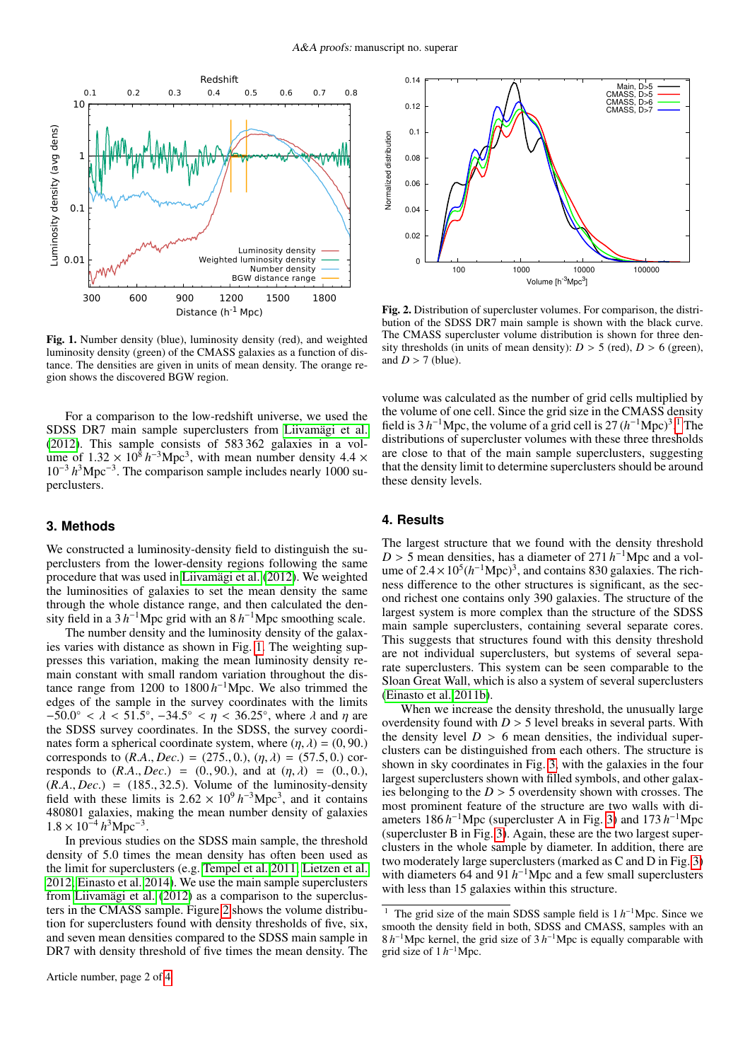

<span id="page-1-0"></span>Fig. 1. Number density (blue), luminosity density (red), and weighted luminosity density (green) of the CMASS galaxies as a function of distance. The densities are given in units of mean density. The orange region shows the discovered BGW region.

For a comparison to the low-redshift universe, we used the SDSS DR7 main sample superclusters from [Liivamägi et al.](#page-3-6) [\(2012\)](#page-3-6). This sample consists of 583 362 galaxies in a volume of  $1.32 \times 10^8 h^{-3}$  Mpc<sup>3</sup>, with mean number density  $4.4 \times 10^{-3} h^3$  Mpc<sup>-3</sup>. The comparison sample includes nearly 1000 su-10<sup>-3</sup> h<sup>3</sup>Mpc<sup>-3</sup>. The comparison sample includes nearly 1000 superclusters.

## **3. Methods**

We constructed a luminosity-density field to distinguish the superclusters from the lower-density regions following the same procedure that was used in [Liivamägi et al.](#page-3-6) [\(2012\)](#page-3-6). We weighted the luminosities of galaxies to set the mean density the same through the whole distance range, and then calculated the density field in a  $3 h^{-1}$ Mpc grid with an  $8 h^{-1}$ Mpc smoothing scale.

The number density and the luminosity density of the galaxies varies with distance as shown in Fig. [1.](#page-1-0) The weighting suppresses this variation, making the mean luminosity density remain constant with small random variation throughout the distance range from 1200 to 1800  $h^{-1}$ Mpc. We also trimmed the edges of the sample in the survey coordinates with the limits  $-50.0^{\circ} < \lambda < 51.5^{\circ}$ ,  $-34.5^{\circ} < \eta < 36.25^{\circ}$ , where  $\lambda$  and  $\eta$  are the SDSS survey coordinates. In the SDSS, the survey coordithe SDSS survey coordinates. In the SDSS, the survey coordinates form a spherical coordinate system, where  $(\eta, \lambda) = (0, 90)$ . corresponds to  $(R.A., Dec.) = (275., 0.), (\eta, \lambda) = (57.5, 0.)$  corresponds to  $(R.A., Dec.) = (0., 90.),$  and at  $(\eta, \lambda) = (0., 0.),$  $(R.A., Dec.) = (185., 32.5)$ . Volume of the luminosity-density field with these limits is  $2.62 \times 10^9 h^{-3}$ Mpc<sup>3</sup>, and it contains 480801 galaxies making the mean number density of galaxies 480801 galaxies, making the mean number density of galaxies  $1.8 \times 10^{-4} h^3 \text{Mpc}^{-3}$ .<br>In previous studi

In previous studies on the SDSS main sample, the threshold density of 5.0 times the mean density has often been used as the limit for superclusters (e.g. [Tempel et al. 2011;](#page-3-32) [Lietzen et al.](#page-3-33) [2012;](#page-3-33) [Einasto et al. 2014\)](#page-3-34). We use the main sample superclusters from [Liivamägi et al.](#page-3-6) [\(2012\)](#page-3-6) as a comparison to the superclusters in the CMASS sample. Figure [2](#page-1-1) shows the volume distribution for superclusters found with density thresholds of five, six, and seven mean densities compared to the SDSS main sample in DR7 with density threshold of five times the mean density. The

Article number, page 2 of [4](#page-0-0)



<span id="page-1-1"></span>Fig. 2. Distribution of supercluster volumes. For comparison, the distribution of the SDSS DR7 main sample is shown with the black curve. The CMASS supercluster volume distribution is shown for three density thresholds (in units of mean density):  $D > 5$  (red),  $D > 6$  (green), and  $D > 7$  (blue).

volume was calculated as the number of grid cells multiplied by the volume of one cell. Since the grid size in the CMASS density field is  $3 h^{-1}$  $3 h^{-1}$  $3 h^{-1}$ Mpc, the volume of a grid cell is  $27 (h^{-1}$ Mpc)<sup>3</sup>.<sup>1</sup> The distributions of supercluster volumes with these three thresholds are close to that of the main sample superclusters, suggesting that the density limit to determine superclusters should be around these density levels.

## **4. Results**

The largest structure that we found with the density threshold  $D > 5$  mean densities, has a diameter of 271 *h*<sup>-1</sup>Mpc and a vol-<br>ume of  $2.4 \times 10^5 (h^{-1}$ Mpc)<sup>3</sup> and contains 830 galaxies. The richume of  $2.4 \times 10^5 (h^{-1}$ Mpc)<sup>3</sup>, and contains 830 galaxies. The rich-<br>ness difference to the other structures is significant as the secness difference to the other structures is significant, as the second richest one contains only 390 galaxies. The structure of the largest system is more complex than the structure of the SDSS main sample superclusters, containing several separate cores. This suggests that structures found with this density threshold are not individual superclusters, but systems of several separate superclusters. This system can be seen comparable to the Sloan Great Wall, which is also a system of several superclusters [\(Einasto et al. 2011b\)](#page-3-16).

When we increase the density threshold, the unusually large overdensity found with  $D > 5$  level breaks in several parts. With the density level  $D > 6$  mean densities, the individual superclusters can be distinguished from each others. The structure is shown in sky coordinates in Fig. [3,](#page-2-0) with the galaxies in the four largest superclusters shown with filled symbols, and other galaxies belonging to the  $D > 5$  overdensity shown with crosses. The most prominent feature of the structure are two walls with diameters 186  $h^{-1}$ Mpc (supercluster A in Fig. [3\)](#page-2-0) and 173  $h^{-1}$ Mpc (supercluster B in Fig. [3\)](#page-2-0). Again, these are the two largest superclusters in the whole sample by diameter. In addition, there are two moderately large superclusters (marked as C and D in Fig. [3\)](#page-2-0) with diameters 64 and 91 *h*<sup>-1</sup>Mpc and a few small superclusters with less than 15 galaxies within this structure.

<span id="page-1-2"></span><sup>&</sup>lt;sup>1</sup> The grid size of the main SDSS sample field is 1 *h*<sup>-1</sup>Mpc. Since we smooth the density field in both, SDSS and CMASS, samples with an  $8 h^{-1}$ Mpc kernel, the grid size of  $3 h^{-1}$ Mpc is equally comparable with grid size of  $1 h^{-1}$ Mpc.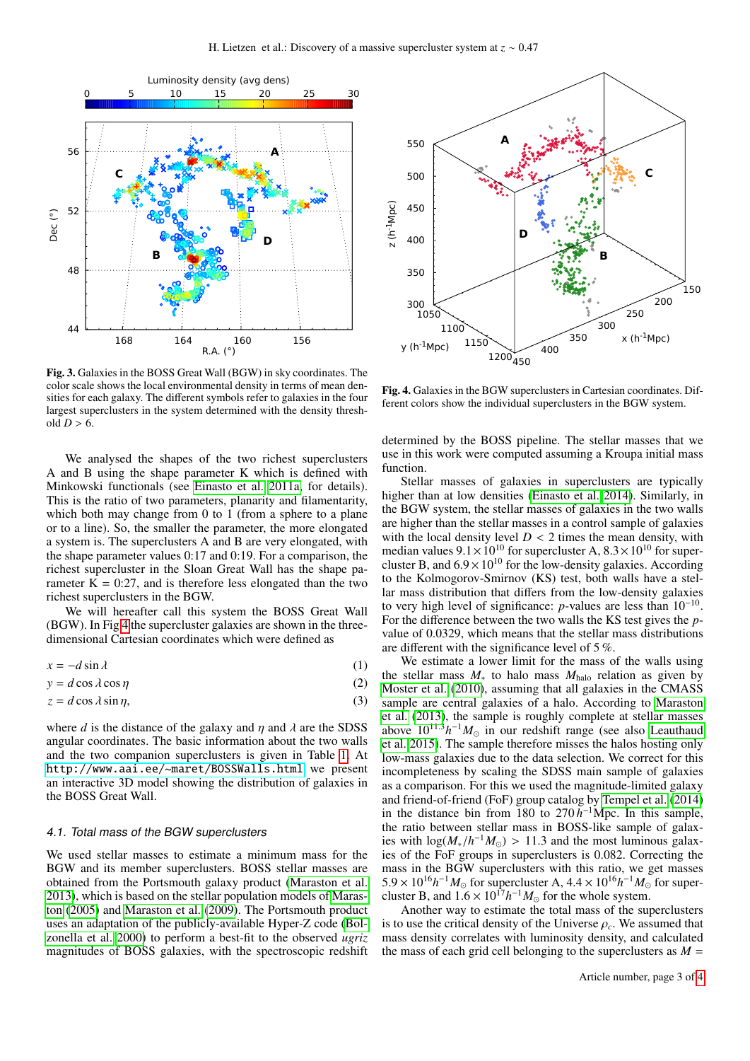

<span id="page-2-0"></span>Fig. 3. Galaxies in the BOSS Great Wall (BGW) in sky coordinates. The color scale shows the local environmental density in terms of mean densities for each galaxy. The different symbols refer to galaxies in the four largest superclusters in the system determined with the density threshold  $D > 6$ .

We analysed the shapes of the two richest superclusters A and B using the shape parameter K which is defined with Minkowski functionals (see [Einasto et al. 2011a,](#page-3-35) for details). This is the ratio of two parameters, planarity and filamentarity, which both may change from 0 to 1 (from a sphere to a plane or to a line). So, the smaller the parameter, the more elongated a system is. The superclusters A and B are very elongated, with the shape parameter values 0:17 and 0:19. For a comparison, the richest supercluster in the Sloan Great Wall has the shape parameter  $K = 0:27$ , and is therefore less elongated than the two richest superclusters in the BGW.

We will hereafter call this system the BOSS Great Wall (BGW). In Fig [4](#page-2-1) the supercluster galaxies are shown in the threedimensional Cartesian coordinates which were defined as

$$
x = -d\sin\lambda\tag{1}
$$

$$
y = d\cos\lambda\cos\eta
$$
 (2)

$$
z = d\cos\lambda\sin\eta,\tag{3}
$$

where *d* is the distance of the galaxy and  $\eta$  and  $\lambda$  are the SDSS angular coordinates. The basic information about the two walls and the two companion superclusters is given in Table [1.](#page-3-36) At <http://www.aai.ee/~maret/BOSSWalls.html> we present an interactive 3D model showing the distribution of galaxies in the BOSS Great Wall.

#### 4.1. Total mass of the BGW superclusters

We used stellar masses to estimate a minimum mass for the BGW and its member superclusters. BOSS stellar masses are obtained from the Portsmouth galaxy product [\(Maraston et al.](#page-3-10) [2013\)](#page-3-10), which is based on the stellar population models of [Maras](#page-3-37)[ton](#page-3-37) [\(2005\)](#page-3-37) and [Maraston et al.](#page-3-38) [\(2009\)](#page-3-38). The Portsmouth product uses an adaptation of the publicly-available Hyper-Z code [\(Bol](#page-3-39)[zonella et al. 2000\)](#page-3-39) to perform a best-fit to the observed *ugriz* magnitudes of BOSS galaxies, with the spectroscopic redshift



<span id="page-2-1"></span>Fig. 4. Galaxies in the BGW superclusters in Cartesian coordinates. Different colors show the individual superclusters in the BGW system.

determined by the BOSS pipeline. The stellar masses that we use in this work were computed assuming a Kroupa initial mass function.

Stellar masses of galaxies in superclusters are typically higher than at low densities [\(Einasto et al. 2014\)](#page-3-34). Similarly, in the BGW system, the stellar masses of galaxies in the two walls are higher than the stellar masses in a control sample of galaxies with the local density level  $D < 2$  times the mean density, with median values  $9.1 \times 10^{10}$  for supercluster A  $8.3 \times 10^{10}$  for supermedian values  $9.1 \times 10^{10}$  for supercluster A,  $8.3 \times 10^{10}$  for super-<br>cluster B and 6.9  $\times$  10<sup>10</sup> for the low-density galaxies. According cluster B, and  $6.9 \times 10^{10}$  for the low-density galaxies. According to the Kolmogorov-Smirnov (KS) test, both walls have a stellar mass distribution that differs from the low-density galaxies to very high level of significance: *p*-values are less than 10<sup>−</sup><sup>10</sup> . For the difference between the two walls the KS test gives the *p*value of 0.0329, which means that the stellar mass distributions are different with the significance level of 5 %.

We estimate a lower limit for the mass of the walls using the stellar mass *M*<sup>∗</sup> to halo mass *M*halo relation as given by [Moster et al.](#page-3-40) [\(2010\)](#page-3-40), assuming that all galaxies in the CMASS sample are central galaxies of a halo. According to [Maraston](#page-3-10) [et al.](#page-3-10) [\(2013\)](#page-3-10), the sample is roughly complete at stellar masses above  $10^{11.3}h^{-1}M_{\odot}$  in our redshift range (see also [Leauthaud](#page-3-41) [et al. 2015\)](#page-3-41). The sample therefore misses the halos hosting only low-mass galaxies due to the data selection. We correct for this incompleteness by scaling the SDSS main sample of galaxies as a comparison. For this we used the magnitude-limited galaxy and friend-of-friend (FoF) group catalog by [Tempel et al.](#page-3-42) [\(2014\)](#page-3-42) in the distance bin from 180 to  $270 h^{-1}$ Mpc. In this sample, the ratio between stellar mass in BOSS-like sample of galaxies with  $\log(M_*/h^{-1}M_{\odot}) > 11.3$  and the most luminous galax-<br>ies of the FoF groups in superclusters is 0.082. Correcting the ies of the FoF groups in superclusters is 0.082. Correcting the mass in the BGW superclusters with this ratio, we get masses  $5.9 \times 10^{16} h^{-1} M_{\odot}$  for supercluster A,  $4.4 \times 10^{16} h^{-1} M_{\odot}$  for super-<br>cluster B and  $1.6 \times 10^{17} h^{-1} M_{\odot}$  for the whole system cluster B, and  $1.6 \times 10^{17} h^{-1} M_{\odot}$  for the whole system.<br>Another way to estimate the total mass of the sui

Another way to estimate the total mass of the superclusters is to use the critical density of the Universe  $\rho_c$ . We assumed that mass density correlates with luminosity density, and calculated the mass of each grid cell belonging to the superclusters as  $M =$